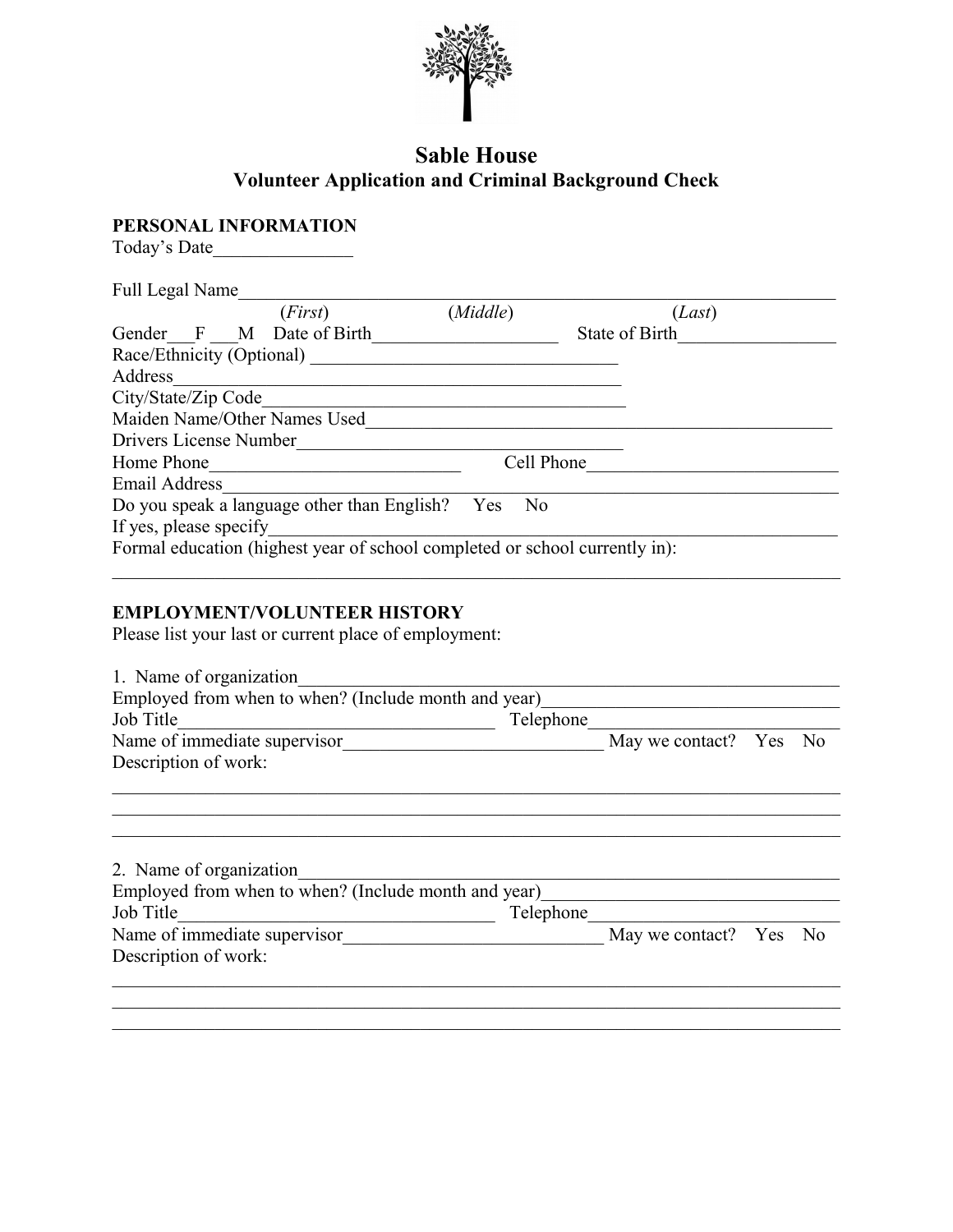

## **Sable House Volunteer Application and Criminal Background Check**

**PERSONAL INFORMATION**

Today's Date\_\_\_\_\_\_\_\_\_\_\_\_\_\_\_

| Full Legal Name                                                             |                |                |
|-----------------------------------------------------------------------------|----------------|----------------|
| (First)                                                                     | (Middle)       | (Last)         |
| Gender F M Date of Birth                                                    |                | State of Birth |
| Race/Ethnicity (Optional)                                                   |                |                |
| Address                                                                     |                |                |
| City/State/Zip Code                                                         |                |                |
| Maiden Name/Other Names Used                                                |                |                |
| Drivers License Number                                                      |                |                |
| Home Phone                                                                  | Cell Phone     |                |
| <b>Email Address</b>                                                        |                |                |
| Do you speak a language other than English? Yes                             | N <sub>0</sub> |                |
| If yes, please specify                                                      |                |                |
| Formal education (highest year of school completed or school currently in): |                |                |

## **EMPLOYMENT/VOLUNTEER HISTORY**

Please list your last or current place of employment:

| 1. Name of organization                                           |           |                        |  |  |  |
|-------------------------------------------------------------------|-----------|------------------------|--|--|--|
| Employed from when to when? (Include month and year)<br>Job Title | Telephone |                        |  |  |  |
| Name of immediate supervisor                                      |           | May we contact? Yes No |  |  |  |
| Description of work:                                              |           |                        |  |  |  |
|                                                                   |           |                        |  |  |  |
| 2. Name of organization                                           |           |                        |  |  |  |

| Employed from when to when? (Include month and year) |           |                        |  |
|------------------------------------------------------|-----------|------------------------|--|
| Job Title                                            | Telephone |                        |  |
| Name of immediate supervisor                         |           | May we contact? Yes No |  |
| Description of work:                                 |           |                        |  |
|                                                      |           |                        |  |